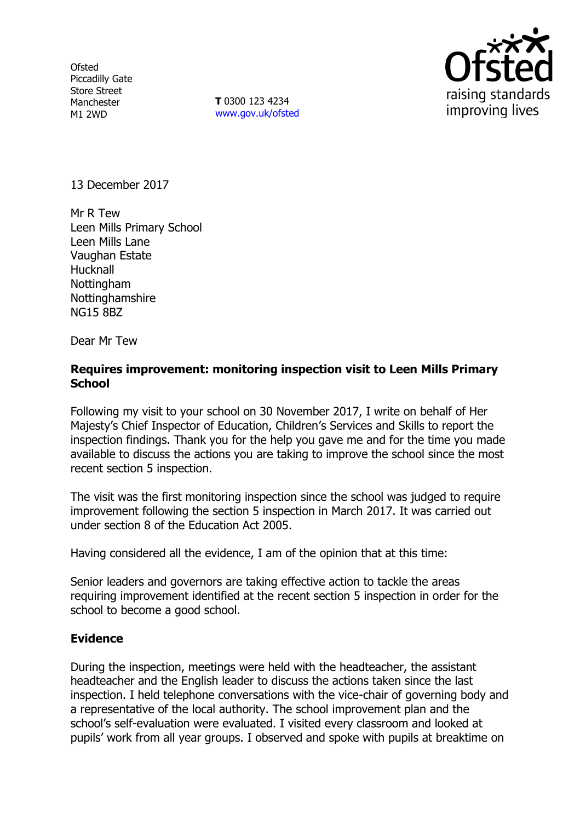**Ofsted** Piccadilly Gate Store Street Manchester M1 2WD

**T** 0300 123 4234 www.gov.uk/ofsted



13 December 2017

Mr R Tew Leen Mills Primary School Leen Mills Lane Vaughan Estate **Hucknall** Nottingham Nottinghamshire NG15 8BZ

Dear Mr Tew

### **Requires improvement: monitoring inspection visit to Leen Mills Primary School**

Following my visit to your school on 30 November 2017, I write on behalf of Her Majesty's Chief Inspector of Education, Children's Services and Skills to report the inspection findings. Thank you for the help you gave me and for the time you made available to discuss the actions you are taking to improve the school since the most recent section 5 inspection.

The visit was the first monitoring inspection since the school was judged to require improvement following the section 5 inspection in March 2017. It was carried out under section 8 of the Education Act 2005.

Having considered all the evidence, I am of the opinion that at this time:

Senior leaders and governors are taking effective action to tackle the areas requiring improvement identified at the recent section 5 inspection in order for the school to become a good school.

#### **Evidence**

During the inspection, meetings were held with the headteacher, the assistant headteacher and the English leader to discuss the actions taken since the last inspection. I held telephone conversations with the vice-chair of governing body and a representative of the local authority. The school improvement plan and the school's self-evaluation were evaluated. I visited every classroom and looked at pupils' work from all year groups. I observed and spoke with pupils at breaktime on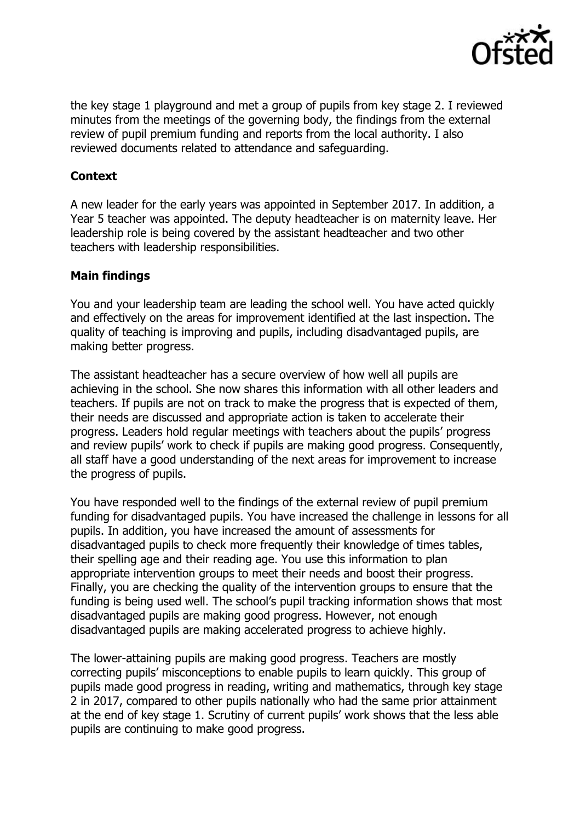

the key stage 1 playground and met a group of pupils from key stage 2. I reviewed minutes from the meetings of the governing body, the findings from the external review of pupil premium funding and reports from the local authority. I also reviewed documents related to attendance and safeguarding.

### **Context**

A new leader for the early years was appointed in September 2017. In addition, a Year 5 teacher was appointed. The deputy headteacher is on maternity leave. Her leadership role is being covered by the assistant headteacher and two other teachers with leadership responsibilities.

### **Main findings**

You and your leadership team are leading the school well. You have acted quickly and effectively on the areas for improvement identified at the last inspection. The quality of teaching is improving and pupils, including disadvantaged pupils, are making better progress.

The assistant headteacher has a secure overview of how well all pupils are achieving in the school. She now shares this information with all other leaders and teachers. If pupils are not on track to make the progress that is expected of them, their needs are discussed and appropriate action is taken to accelerate their progress. Leaders hold regular meetings with teachers about the pupils' progress and review pupils' work to check if pupils are making good progress. Consequently, all staff have a good understanding of the next areas for improvement to increase the progress of pupils.

You have responded well to the findings of the external review of pupil premium funding for disadvantaged pupils. You have increased the challenge in lessons for all pupils. In addition, you have increased the amount of assessments for disadvantaged pupils to check more frequently their knowledge of times tables, their spelling age and their reading age. You use this information to plan appropriate intervention groups to meet their needs and boost their progress. Finally, you are checking the quality of the intervention groups to ensure that the funding is being used well. The school's pupil tracking information shows that most disadvantaged pupils are making good progress. However, not enough disadvantaged pupils are making accelerated progress to achieve highly.

The lower-attaining pupils are making good progress. Teachers are mostly correcting pupils' misconceptions to enable pupils to learn quickly. This group of pupils made good progress in reading, writing and mathematics, through key stage 2 in 2017, compared to other pupils nationally who had the same prior attainment at the end of key stage 1. Scrutiny of current pupils' work shows that the less able pupils are continuing to make good progress.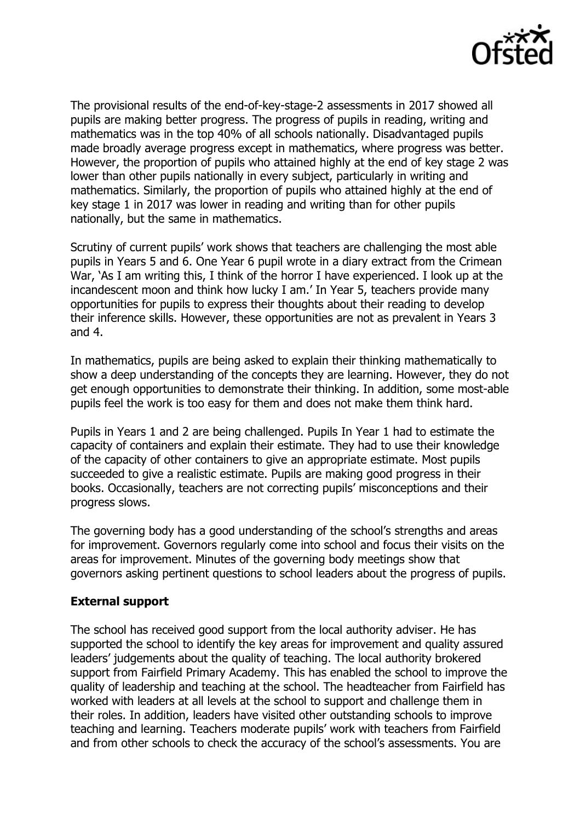

The provisional results of the end-of-key-stage-2 assessments in 2017 showed all pupils are making better progress. The progress of pupils in reading, writing and mathematics was in the top 40% of all schools nationally. Disadvantaged pupils made broadly average progress except in mathematics, where progress was better. However, the proportion of pupils who attained highly at the end of key stage 2 was lower than other pupils nationally in every subject, particularly in writing and mathematics. Similarly, the proportion of pupils who attained highly at the end of key stage 1 in 2017 was lower in reading and writing than for other pupils nationally, but the same in mathematics.

Scrutiny of current pupils' work shows that teachers are challenging the most able pupils in Years 5 and 6. One Year 6 pupil wrote in a diary extract from the Crimean War, 'As I am writing this, I think of the horror I have experienced. I look up at the incandescent moon and think how lucky I am.' In Year 5, teachers provide many opportunities for pupils to express their thoughts about their reading to develop their inference skills. However, these opportunities are not as prevalent in Years 3 and 4.

In mathematics, pupils are being asked to explain their thinking mathematically to show a deep understanding of the concepts they are learning. However, they do not get enough opportunities to demonstrate their thinking. In addition, some most-able pupils feel the work is too easy for them and does not make them think hard.

Pupils in Years 1 and 2 are being challenged. Pupils In Year 1 had to estimate the capacity of containers and explain their estimate. They had to use their knowledge of the capacity of other containers to give an appropriate estimate. Most pupils succeeded to give a realistic estimate. Pupils are making good progress in their books. Occasionally, teachers are not correcting pupils' misconceptions and their progress slows.

The governing body has a good understanding of the school's strengths and areas for improvement. Governors regularly come into school and focus their visits on the areas for improvement. Minutes of the governing body meetings show that governors asking pertinent questions to school leaders about the progress of pupils.

# **External support**

The school has received good support from the local authority adviser. He has supported the school to identify the key areas for improvement and quality assured leaders' judgements about the quality of teaching. The local authority brokered support from Fairfield Primary Academy. This has enabled the school to improve the quality of leadership and teaching at the school. The headteacher from Fairfield has worked with leaders at all levels at the school to support and challenge them in their roles. In addition, leaders have visited other outstanding schools to improve teaching and learning. Teachers moderate pupils' work with teachers from Fairfield and from other schools to check the accuracy of the school's assessments. You are